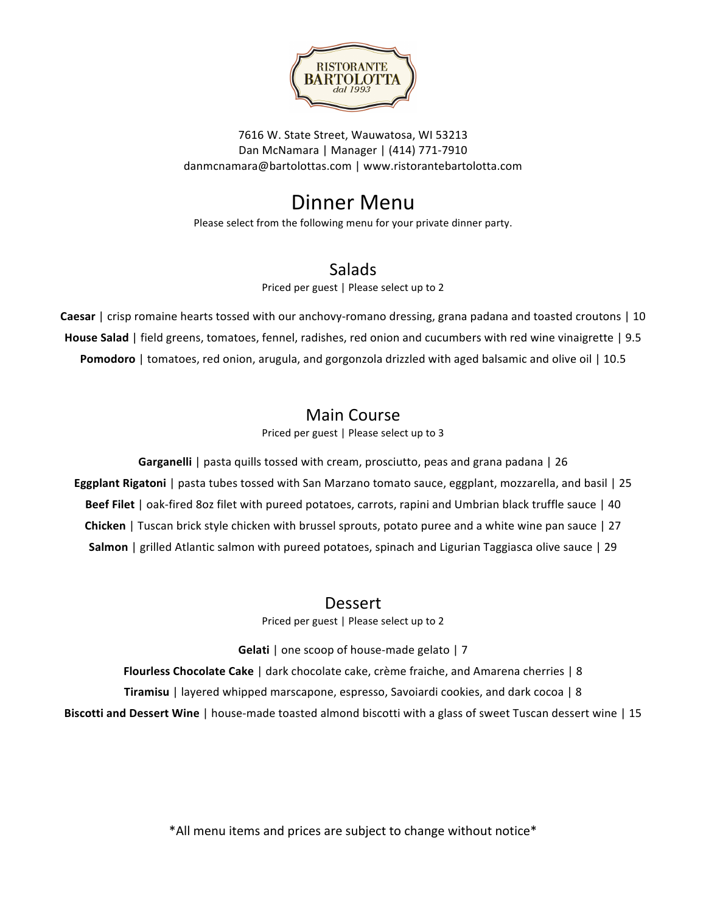

7616 W. State Street, Wauwatosa, WI 53213 Dan McNamara | Manager | (414) 771-7910 danmcnamara@bartolottas.com | www.ristorantebartolotta.com

# Dinner Menu

Please select from the following menu for your private dinner party.

### **Salads**

Priced per guest | Please select up to 2

**Caesar** | crisp romaine hearts tossed with our anchovy-romano dressing, grana padana and toasted croutons | 10 **House Salad** | field greens, tomatoes, fennel, radishes, red onion and cucumbers with red wine vinaigrette | 9.5 **Pomodoro** | tomatoes, red onion, arugula, and gorgonzola drizzled with aged balsamic and olive oil | 10.5

### Main Course

Priced per guest | Please select up to 3

**Garganelli** | pasta quills tossed with cream, prosciutto, peas and grana padana | 26 **Eggplant Rigatoni** | pasta tubes tossed with San Marzano tomato sauce, eggplant, mozzarella, and basil | 25 **Beef Filet** | oak-fired 8oz filet with pureed potatoes, carrots, rapini and Umbrian black truffle sauce | 40 **Chicken** | Tuscan brick style chicken with brussel sprouts, potato puree and a white wine pan sauce | 27 **Salmon** | grilled Atlantic salmon with pureed potatoes, spinach and Ligurian Taggiasca olive sauce | 29

#### Dessert

Priced per guest | Please select up to 2

**Gelati** | one scoop of house-made gelato | 7

**Flourless Chocolate Cake** | dark chocolate cake, crème fraiche, and Amarena cherries | 8

**Tiramisu** | layered whipped marscapone, espresso, Savoiardi cookies, and dark cocoa | 8

**Biscotti and Dessert Wine** | house-made toasted almond biscotti with a glass of sweet Tuscan dessert wine | 15

\*All menu items and prices are subject to change without notice\*